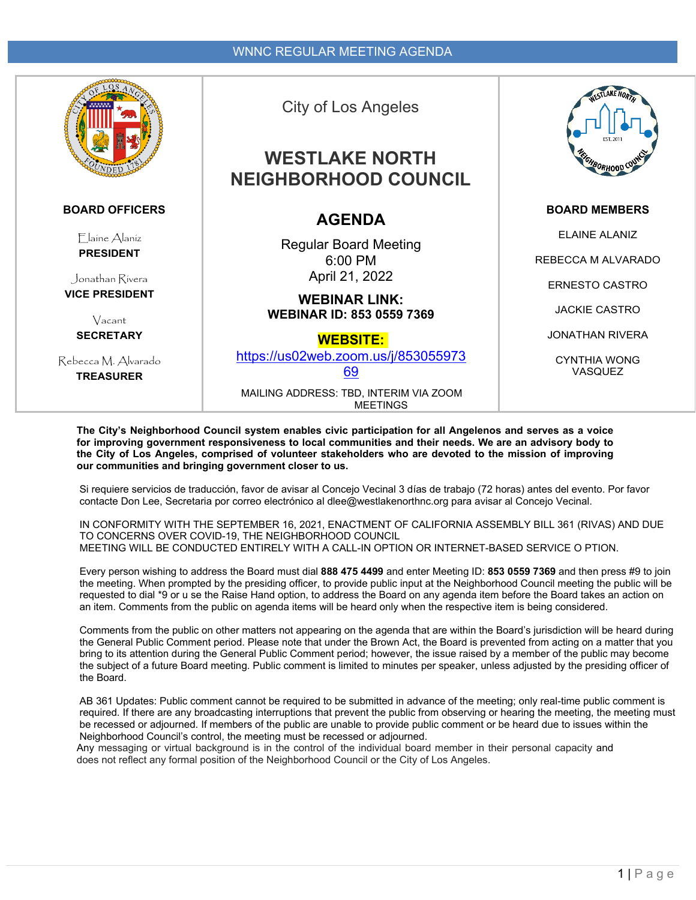

#### **BOARD OFFICERS**

Elaine Alaniz **PRESIDENT**

Jonathan Rivera **VICE PRESIDENT**

> Vacant **SECRETARY**

Rebecca M. Alvarado **TREASURER**

## City of Los Angeles

# **WESTLAKE NORTH NEIGHBORHOOD COUNCIL**

## **AGENDA**

Regular Board Meeting 6:00 PM April 21, 2022

**WEBINAR LINK: WEBINAR ID: 853 0559 7369**

**WEBSITE:**

[https://us02web.zoom.us/j/853055973](https://us02web.zoom.us/j/85305597369) [69](https://us02web.zoom.us/j/85305597369)

MAILING ADDRESS: TBD, INTERIM VIA ZOOM **MEETINGS** 



#### **BOARD MEMBERS**

ELAINE ALANIZ

REBECCA M ALVARADO

ERNESTO CASTRO

JACKIE CASTRO

JONATHAN RIVERA

CYNTHIA WONG VASQUEZ

**The City's Neighborhood Council system enables civic participation for all Angelenos and serves as a voice for improving government responsiveness to local communities and their needs. We are an advisory body to the City of Los Angeles, comprised of volunteer stakeholders who are devoted to the mission of improving our communities and bringing government closer to us.**

Si requiere servicios de traducción, favor de avisar al Concejo Vecinal 3 días de trabajo (72 horas) antes del evento. Por favor contacte Don Lee, Secretaria por correo electrónico al dlee@westlakenorthnc.org para avisar al Concejo Vecinal.

IN CONFORMITY WITH THE SEPTEMBER 16, 2021, ENACTMENT OF CALIFORNIA ASSEMBLY BILL 361 (RIVAS) AND DUE TO CONCERNS OVER COVID-19, THE NEIGHBORHOOD COUNCIL MEETING WILL BE CONDUCTED ENTIRELY WITH A CALL-IN OPTION OR INTERNET-BASED SERVICE O PTION.

Every person wishing to address the Board must dial **888 475 4499** and enter Meeting ID: **853 0559 7369** and then press #9 to join the meeting. When prompted by the presiding officer, to provide public input at the Neighborhood Council meeting the public will be requested to dial \*9 or u se the Raise Hand option, to address the Board on any agenda item before the Board takes an action on an item. Comments from the public on agenda items will be heard only when the respective item is being considered.

Comments from the public on other matters not appearing on the agenda that are within the Board's jurisdiction will be heard during the General Public Comment period. Please note that under the Brown Act, the Board is prevented from acting on a matter that you bring to its attention during the General Public Comment period; however, the issue raised by a member of the public may become the subject of a future Board meeting. Public comment is limited to minutes per speaker, unless adjusted by the presiding officer of the Board.

AB 361 Updates: Public comment cannot be required to be submitted in advance of the meeting; only real-time public comment is required. If there are any broadcasting interruptions that prevent the public from observing or hearing the meeting, the meeting must be recessed or adjourned. If members of the public are unable to provide public comment or be heard due to issues within the Neighborhood Council's control, the meeting must be recessed or adjourned.

Any messaging or virtual background is in the control of the individual board member in their personal capacity and does not reflect any formal position of the Neighborhood Council or the City of Los Angeles.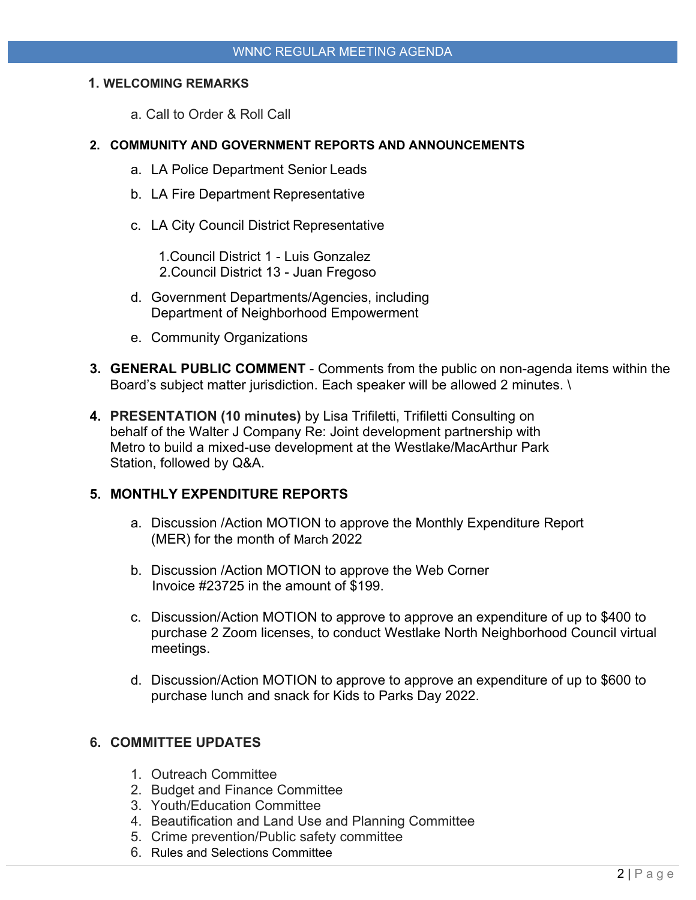### **1. WELCOMING REMARKS**

a. Call to Order & Roll Call

#### **2. COMMUNITY AND GOVERNMENT REPORTS AND ANNOUNCEMENTS**

- a. LA Police Department Senior Leads
- b. LA Fire Department Representative
- c. LA City Council District Representative

1.Council District 1 - Luis Gonzalez 2.Council District 13 - Juan Fregoso

- d. Government Departments/Agencies, including Department of Neighborhood Empowerment
- e. Community Organizations
- **3. GENERAL PUBLIC COMMENT**  Comments from the public on non-agenda items within the Board's subject matter jurisdiction. Each speaker will be allowed 2 minutes. \
- **4. PRESENTATION (10 minutes)** by Lisa Trifiletti, Trifiletti Consulting on behalf of the Walter J Company Re: Joint development partnership with Metro to build a mixed-use development at the Westlake/MacArthur Park Station, followed by Q&A.

### **5. MONTHLY EXPENDITURE REPORTS**

- a. Discussion /Action MOTION to approve the Monthly Expenditure Report (MER) for the month of March 2022
- b. Discussion /Action MOTION to approve the Web Corner Invoice #23725 in the amount of \$199.
- c. Discussion/Action MOTION to approve to approve an expenditure of up to \$400 to purchase 2 Zoom licenses, to conduct Westlake North Neighborhood Council virtual meetings.
- d. Discussion/Action MOTION to approve to approve an expenditure of up to \$600 to purchase lunch and snack for Kids to Parks Day 2022.

### **6. COMMITTEE UPDATES**

- 1. Outreach Committee
- 2. Budget and Finance Committee
- 3. Youth/Education Committee
- 4. Beautification and Land Use and Planning Committee
- 5. Crime prevention/Public safety committee
- 6. Rules and Selections Committee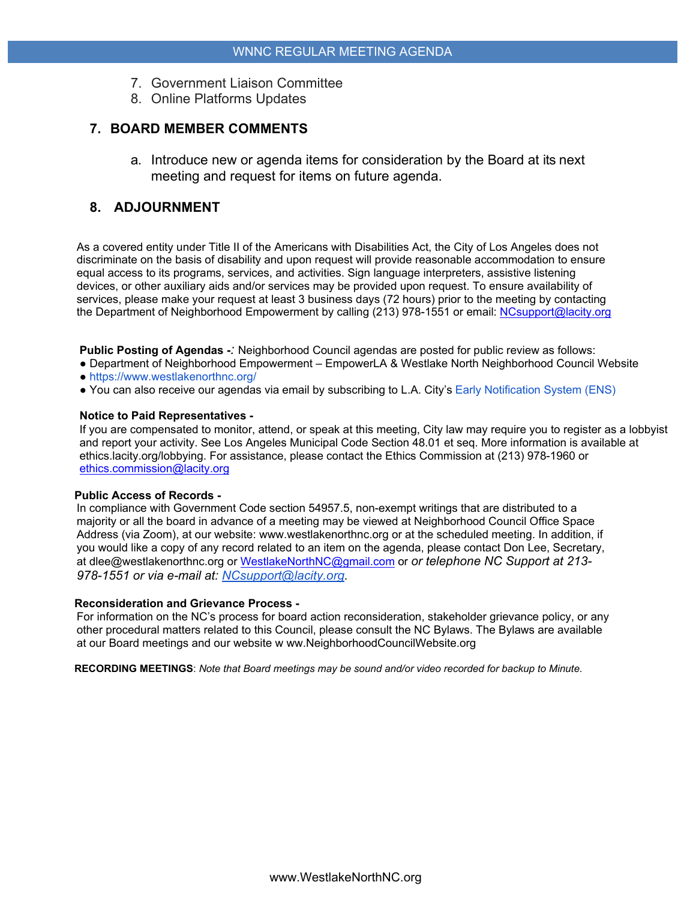- 7. Government Liaison Committee
- 8. Online Platforms Updates

## **7. BOARD MEMBER COMMENTS**

a. Introduce new or agenda items for consideration by the Board at its next meeting and request for items on future agenda.

## **8. ADJOURNMENT**

As a covered entity under Title II of the Americans with Disabilities Act, the City of Los Angeles does not discriminate on the basis of disability and upon request will provide reasonable accommodation to ensure equal access to its programs, services, and activities. Sign language interpreters, assistive listening devices, or other auxiliary aids and/or services may be provided upon request. To ensure availability of services, please make your request at least 3 business days (72 hours) prior to the meeting by contacting the Department of Neighborhood Empowerment by calling (213) 978-1551 or email: [NCsupport@lacity.org](mailto:NCsupport@lacity.org)

**Public Posting of Agendas -***:* Neighborhood Council agendas are posted for public review as follows:

- Department of Neighborhood Empowerment EmpowerLA & Westlake North Neighborhood Council Website ● https://www.westlakenorthnc.org/
- You can also receive our agendas via email by subscribing to L.A. City's Early Notification System (ENS)

#### **Notice to Paid Representatives -**

If you are compensated to monitor, attend, or speak at this meeting, City law may require you to register as a lobbyist and report your activity. See Los Angeles Municipal Code Section 48.01 et seq. More information is available at ethics.lacity.org/lobbying. For assistance, please contact the Ethics Commission at (213) 978-1960 or [ethics.commission@lacity.org](mailto:ethics.commission@lacity.org)

#### **Public Access of Records -**

In compliance with Government Code section 54957.5, non-exempt writings that are distributed to a majority or all the board in advance of a meeting may be viewed at Neighborhood Council Office Space Address (via Zoom), at our website: www.westlakenorthnc.org or at the scheduled meeting. In addition, if you would like a copy of any record related to an item on the agenda, please contact Don Lee, Secretary, at dlee@westlakenorthnc.org or [WestlakeNorthNC@gmail.com](mailto:WestlakeNorthNC@gmail.com) or *or telephone NC Support at 213- 978-1551 or via e-mail at: [NCsupport@lacity.org.](mailto:NCsupport@lacity.org)* 

#### **Reconsideration and Grievance Process -**

For information on the NC's process for board action reconsideration, stakeholder grievance policy, or any other procedural matters related to this Council, please consult the NC Bylaws. The Bylaws are available at our Board meetings and our website w ww.NeighborhoodCouncilWebsite.org

**RECORDING MEETINGS**: *Note that Board meetings may be sound and/or video recorded for backup to Minute.*